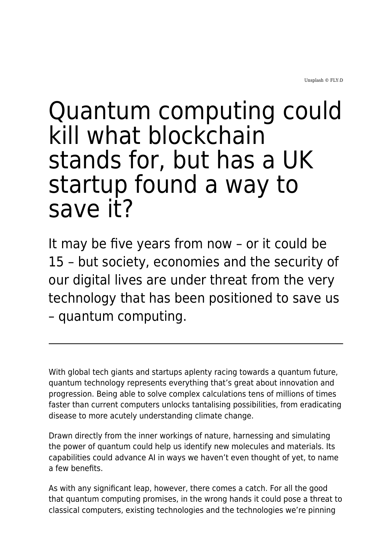## Quantum computing could kill what blockchain stands for, but has a UK startup found a way to save it?

It may be five years from now – or it could be 15 – but society, economies and the security of our digital lives are under threat from the very technology that has been positioned to save us – quantum computing.

With global tech giants and startups aplenty racing towards a quantum future, quantum technology represents everything that's great about innovation and progression. Being able to solve complex calculations tens of millions of times faster than current computers unlocks tantalising possibilities, from eradicating disease to more acutely understanding climate change.

Drawn directly from the inner workings of nature, harnessing and simulating the power of quantum could help us identify new molecules and materials. Its capabilities could advance AI in ways we haven't even thought of yet, to name a few benefits.

As with any significant leap, however, there comes a catch. For all the good that quantum computing promises, in the wrong hands it could pose a threat to classical computers, existing technologies and the technologies we're pinning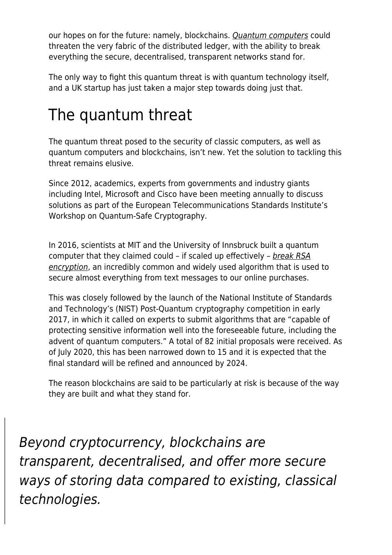our hopes on for the future: namely, blockchains. [Quantum computers](https://www.maddyness.com/uk/2021/02/23/the-uks-position-in-the-global-quantum-race-is-strong-we-must-be-bold-to-lead-the-quantum-revolution/) could threaten the very fabric of the distributed ledger, with the ability to break everything the secure, decentralised, transparent networks stand for.

The only way to fight this quantum threat is with quantum technology itself, and a UK startup has just taken a major step towards doing just that.

## The quantum threat

The quantum threat posed to the security of classic computers, as well as quantum computers and blockchains, isn't new. Yet the solution to tackling this threat remains elusive.

Since 2012, academics, experts from governments and industry giants including Intel, Microsoft and Cisco have been meeting annually to discuss solutions as part of the European Telecommunications Standards Institute's Workshop on Quantum-Safe Cryptography.

In 2016, scientists at MIT and the University of Innsbruck built a quantum computer that they claimed could – if scaled up effectively – [break RSA](https://news.mit.edu/2016/quantum-computer-end-encryption-schemes-0303) [encryption](https://news.mit.edu/2016/quantum-computer-end-encryption-schemes-0303), an incredibly common and widely used algorithm that is used to secure almost everything from text messages to our online purchases.

This was closely followed by the launch of the National Institute of Standards and Technology's (NIST) Post-Quantum cryptography competition in early 2017, in which it called on experts to submit algorithms that are "capable of protecting sensitive information well into the foreseeable future, including the advent of quantum computers." A total of 82 initial proposals were received. As of July 2020, this has been narrowed down to 15 and it is expected that the final standard will be refined and announced by 2024.

The reason blockchains are said to be particularly at risk is because of the way they are built and what they stand for.

Beyond cryptocurrency, blockchains are transparent, decentralised, and offer more secure ways of storing data compared to existing, classical technologies.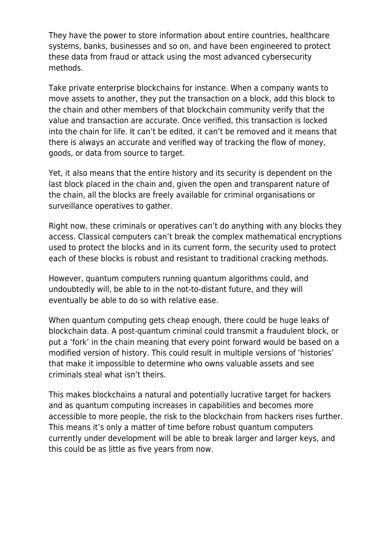They have the power to store information about entire countries, healthcare systems, banks, businesses and so on, and have been engineered to protect these data from fraud or attack using the most advanced cybersecurity methods.

Take private enterprise blockchains for instance. When a company wants to move assets to another, they put the transaction on a block, add this block to the chain and other members of that blockchain community verify that the value and transaction are accurate. Once verified, this transaction is locked into the chain for life. It can't be edited, it can't be removed and it means that there is always an accurate and verified way of tracking the flow of money, goods, or data from source to target.

Yet, it also means that the entire history and its security is dependent on the last block placed in the chain and, given the open and transparent nature of the chain, all the blocks are freely available for criminal organisations or surveillance operatives to gather.

Right now, these criminals or operatives can't do anything with any blocks they access. Classical computers can't break the complex mathematical encryptions used to protect the blocks and in its current form, the security used to protect each of these blocks is robust and resistant to traditional cracking methods.

However, quantum computers running quantum algorithms could, and undoubtedly will, be able to in the not-to-distant future, and they will eventually be able to do so with relative ease.

When quantum computing gets cheap enough, there could be huge leaks of blockchain data. A post-quantum criminal could transmit a fraudulent block, or put a 'fork' in the chain meaning that every point forward would be based on a modified version of history. This could result in multiple versions of 'histories' that make it impossible to determine who owns valuable assets and see criminals steal what isn't theirs.

This makes blockchains a natural and potentially lucrative target for hackers and as quantum computing increases in capabilities and becomes more accessible to more people, the risk to the blockchain from hackers rises further. This means it's only a matter of time before robust quantum computers currently under development will be able to break larger and larger keys, and this could be as [l](https://www.telegraph.co.uk/technology/2020/01/22/googles-sundar-pichai-quantum-computing-could-end-encryption/)ittle as five years from now.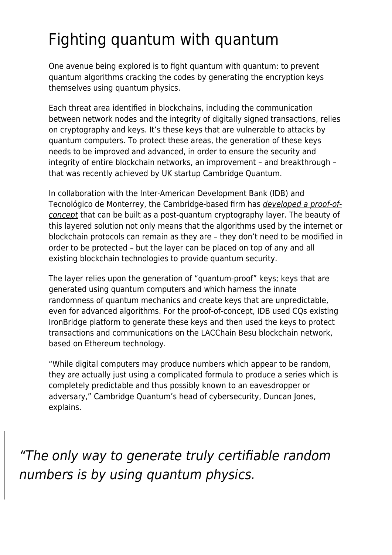## Fighting quantum with quantum

One avenue being explored is to fight quantum with quantum: to prevent quantum algorithms cracking the codes by generating the encryption keys themselves using quantum physics.

Each threat area identified in blockchains, including the communication between network nodes and the integrity of digitally signed transactions, relies on cryptography and keys. It's these keys that are vulnerable to attacks by quantum computers. To protect these areas, the generation of these keys needs to be improved and advanced, in order to ensure the security and integrity of entire blockchain networks, an improvement – and breakthrough – that was recently achieved by UK startup Cambridge Quantum.

In collaboration with the Inter-American Development Bank (IDB) and Tecnológico de Monterrey, the Cambridge-based firm has *[developed a proof-of](https://arxiv.org/abs/2106.06640)*[concept](https://arxiv.org/abs/2106.06640) that can be built as a post-quantum cryptography layer. The beauty of this layered solution not only means that the algorithms used by the internet or blockchain protocols can remain as they are – they don't need to be modified in order to be protected – but the layer can be placed on top of any and all existing blockchain technologies to provide quantum security.

The layer relies upon the generation of "quantum-proof" keys; keys that are generated using quantum computers and which harness the innate randomness of quantum mechanics and create keys that are unpredictable, even for advanced algorithms. For the proof-of-concept, IDB used CQs existing IronBridge platform to generate these keys and then used the keys to protect transactions and communications on the LACChain Besu blockchain network, based on Ethereum technology.

"While digital computers may produce numbers which appear to be random, they are actually just using a complicated formula to produce a series which is completely predictable and thus possibly known to an eavesdropper or adversary," Cambridge Quantum's head of cybersecurity, Duncan Jones, explains.

"The only way to generate truly certifiable random numbers is by using quantum physics.